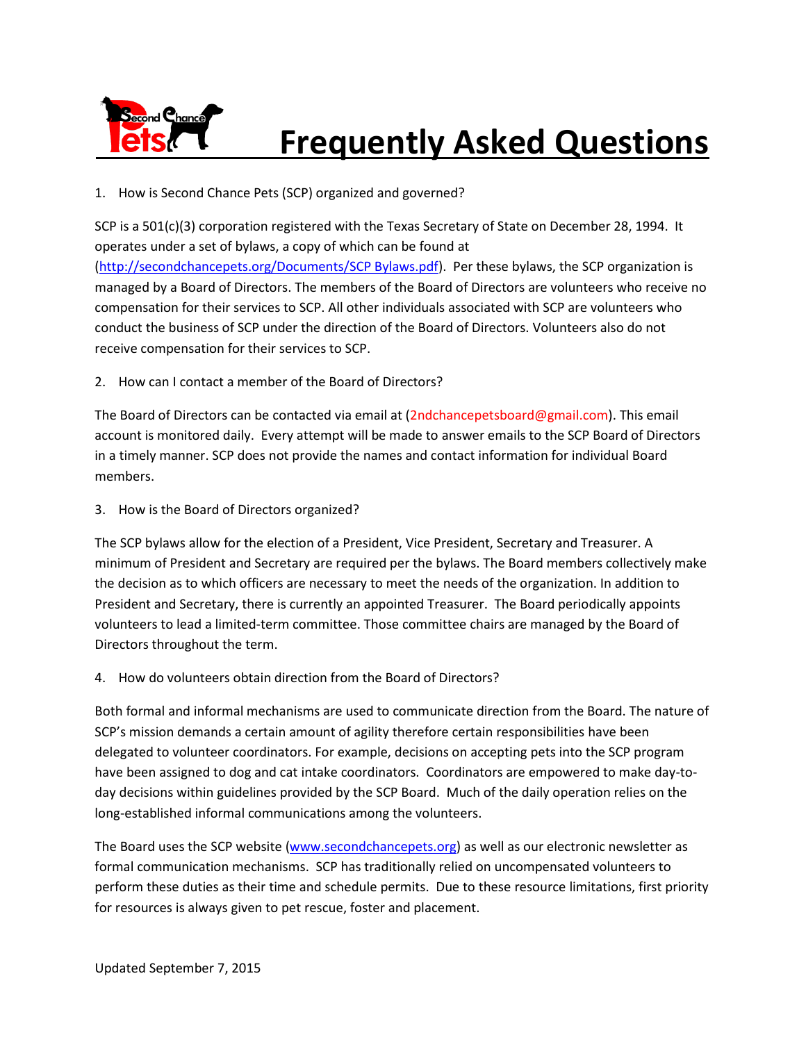

## **Frequently Asked Questions**

1. How is Second Chance Pets (SCP) organized and governed?

SCP is a 501(c)(3) corporation registered with the Texas Secretary of State on December 28, 1994. It operates under a set of bylaws, a copy of which can be found at [\(http://secondchancepets.org/Documents/SCP Bylaws.pdf\)](http://secondchancepets.org/Documents/SCP%20Bylaws.pdf). Per these bylaws, the SCP organization is managed by a Board of Directors. The members of the Board of Directors are volunteers who receive no compensation for their services to SCP. All other individuals associated with SCP are volunteers who conduct the business of SCP under the direction of the Board of Directors. Volunteers also do not receive compensation for their services to SCP.

2. How can I contact a member of the Board of Directors?

The Board of Directors can be contacted via email at (2ndchancepetsboard@gmail.com). This email account is monitored daily. Every attempt will be made to answer emails to the SCP Board of Directors in a timely manner. SCP does not provide the names and contact information for individual Board members.

3. How is the Board of Directors organized?

The SCP bylaws allow for the election of a President, Vice President, Secretary and Treasurer. A minimum of President and Secretary are required per the bylaws. The Board members collectively make the decision as to which officers are necessary to meet the needs of the organization. In addition to President and Secretary, there is currently an appointed Treasurer. The Board periodically appoints volunteers to lead a limited-term committee. Those committee chairs are managed by the Board of Directors throughout the term.

4. How do volunteers obtain direction from the Board of Directors?

Both formal and informal mechanisms are used to communicate direction from the Board. The nature of SCP's mission demands a certain amount of agility therefore certain responsibilities have been delegated to volunteer coordinators. For example, decisions on accepting pets into the SCP program have been assigned to dog and cat intake coordinators. Coordinators are empowered to make day-today decisions within guidelines provided by the SCP Board. Much of the daily operation relies on the long-established informal communications among the volunteers.

The Board uses the SCP website [\(www.secondchancepets.org\)](http://www.secondchancepets.org/) as well as our electronic newsletter as formal communication mechanisms. SCP has traditionally relied on uncompensated volunteers to perform these duties as their time and schedule permits. Due to these resource limitations, first priority for resources is always given to pet rescue, foster and placement.